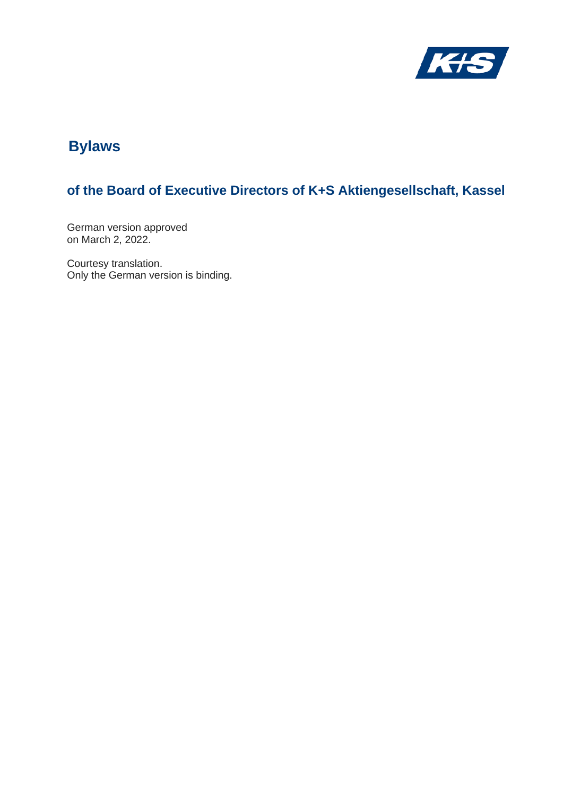

# **Bylaws**

# **of the Board of Executive Directors of K+S Aktiengesellschaft, Kassel**

German version approved on March 2, 2022.

Courtesy translation. Only the German version is binding.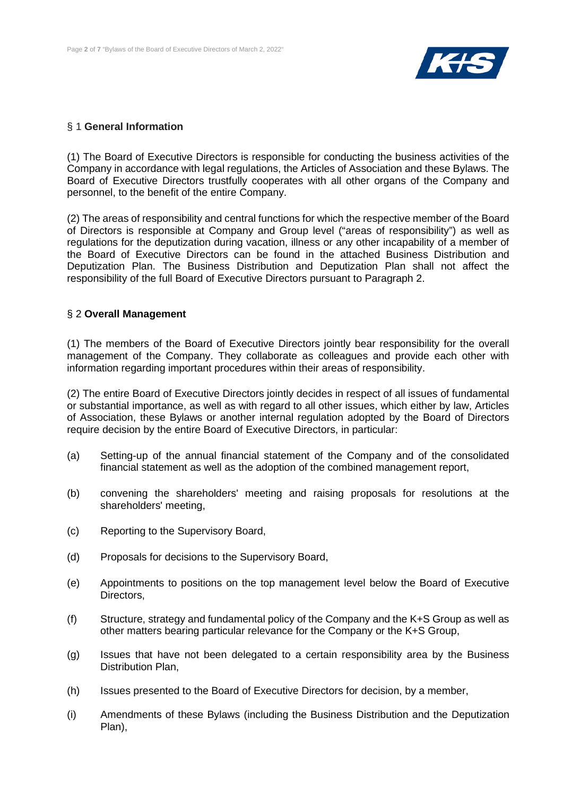

#### § 1 **General Information**

(1) The Board of Executive Directors is responsible for conducting the business activities of the Company in accordance with legal regulations, the Articles of Association and these Bylaws. The Board of Executive Directors trustfully cooperates with all other organs of the Company and personnel, to the benefit of the entire Company.

(2) The areas of responsibility and central functions for which the respective member of the Board of Directors is responsible at Company and Group level ("areas of responsibility") as well as regulations for the deputization during vacation, illness or any other incapability of a member of the Board of Executive Directors can be found in the attached Business Distribution and Deputization Plan. The Business Distribution and Deputization Plan shall not affect the responsibility of the full Board of Executive Directors pursuant to Paragraph 2.

## § 2 **Overall Management**

(1) The members of the Board of Executive Directors jointly bear responsibility for the overall management of the Company. They collaborate as colleagues and provide each other with information regarding important procedures within their areas of responsibility.

(2) The entire Board of Executive Directors jointly decides in respect of all issues of fundamental or substantial importance, as well as with regard to all other issues, which either by law, Articles of Association, these Bylaws or another internal regulation adopted by the Board of Directors require decision by the entire Board of Executive Directors, in particular:

- (a) Setting-up of the annual financial statement of the Company and of the consolidated financial statement as well as the adoption of the combined management report,
- (b) convening the shareholders' meeting and raising proposals for resolutions at the shareholders' meeting,
- (c) Reporting to the Supervisory Board,
- (d) Proposals for decisions to the Supervisory Board,
- (e) Appointments to positions on the top management level below the Board of Executive Directors,
- (f) Structure, strategy and fundamental policy of the Company and the K+S Group as well as other matters bearing particular relevance for the Company or the K+S Group,
- (g) Issues that have not been delegated to a certain responsibility area by the Business Distribution Plan,
- (h) Issues presented to the Board of Executive Directors for decision, by a member,
- (i) Amendments of these Bylaws (including the Business Distribution and the Deputization Plan),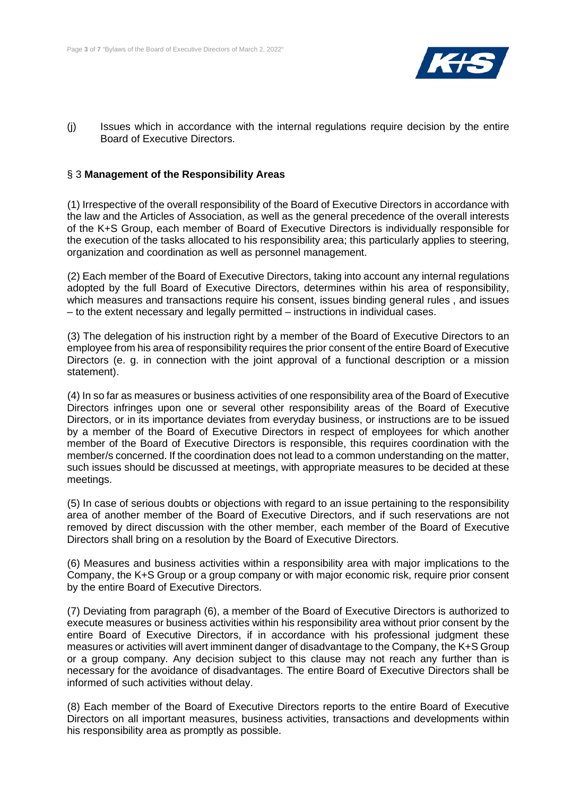

(j) Issues which in accordance with the internal regulations require decision by the entire Board of Executive Directors.

# § 3 **Management of the Responsibility Areas**

(1) Irrespective of the overall responsibility of the Board of Executive Directors in accordance with the law and the Articles of Association, as well as the general precedence of the overall interests of the K+S Group, each member of Board of Executive Directors is individually responsible for the execution of the tasks allocated to his responsibility area; this particularly applies to steering, organization and coordination as well as personnel management.

(2) Each member of the Board of Executive Directors, taking into account any internal regulations adopted by the full Board of Executive Directors, determines within his area of responsibility, which measures and transactions require his consent, issues binding general rules , and issues – to the extent necessary and legally permitted – instructions in individual cases.

(3) The delegation of his instruction right by a member of the Board of Executive Directors to an employee from his area of responsibility requires the prior consent of the entire Board of Executive Directors (e. g. in connection with the joint approval of a functional description or a mission statement).

(4) In so far as measures or business activities of one responsibility area of the Board of Executive Directors infringes upon one or several other responsibility areas of the Board of Executive Directors, or in its importance deviates from everyday business, or instructions are to be issued by a member of the Board of Executive Directors in respect of employees for which another member of the Board of Executive Directors is responsible, this requires coordination with the member/s concerned. If the coordination does not lead to a common understanding on the matter, such issues should be discussed at meetings, with appropriate measures to be decided at these meetings.

(5) In case of serious doubts or objections with regard to an issue pertaining to the responsibility area of another member of the Board of Executive Directors, and if such reservations are not removed by direct discussion with the other member, each member of the Board of Executive Directors shall bring on a resolution by the Board of Executive Directors.

(6) Measures and business activities within a responsibility area with major implications to the Company, the K+S Group or a group company or with major economic risk, require prior consent by the entire Board of Executive Directors.

(7) Deviating from paragraph (6), a member of the Board of Executive Directors is authorized to execute measures or business activities within his responsibility area without prior consent by the entire Board of Executive Directors, if in accordance with his professional judgment these measures or activities will avert imminent danger of disadvantage to the Company, the K+S Group or a group company. Any decision subject to this clause may not reach any further than is necessary for the avoidance of disadvantages. The entire Board of Executive Directors shall be informed of such activities without delay.

(8) Each member of the Board of Executive Directors reports to the entire Board of Executive Directors on all important measures, business activities, transactions and developments within his responsibility area as promptly as possible.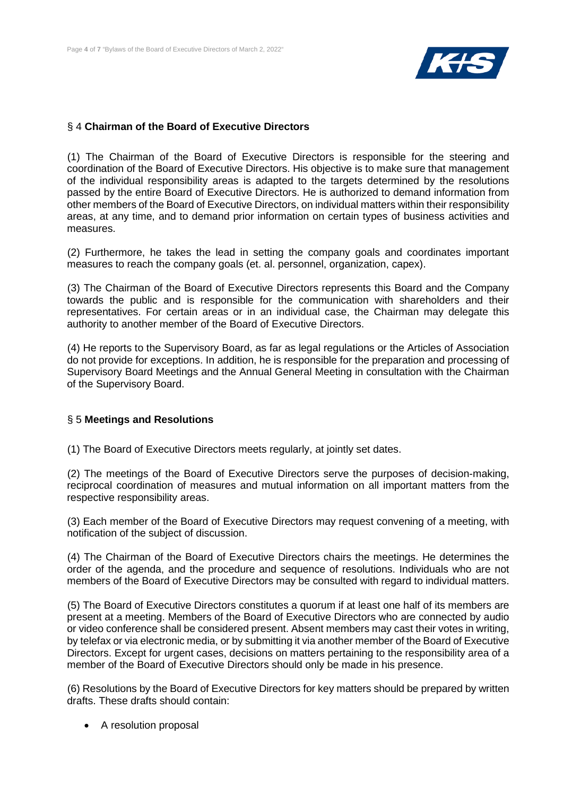

# § 4 **Chairman of the Board of Executive Directors**

(1) The Chairman of the Board of Executive Directors is responsible for the steering and coordination of the Board of Executive Directors. His objective is to make sure that management of the individual responsibility areas is adapted to the targets determined by the resolutions passed by the entire Board of Executive Directors. He is authorized to demand information from other members of the Board of Executive Directors, on individual matters within their responsibility areas, at any time, and to demand prior information on certain types of business activities and measures.

(2) Furthermore, he takes the lead in setting the company goals and coordinates important measures to reach the company goals (et. al. personnel, organization, capex).

(3) The Chairman of the Board of Executive Directors represents this Board and the Company towards the public and is responsible for the communication with shareholders and their representatives. For certain areas or in an individual case, the Chairman may delegate this authority to another member of the Board of Executive Directors.

(4) He reports to the Supervisory Board, as far as legal regulations or the Articles of Association do not provide for exceptions. In addition, he is responsible for the preparation and processing of Supervisory Board Meetings and the Annual General Meeting in consultation with the Chairman of the Supervisory Board.

#### § 5 **Meetings and Resolutions**

(1) The Board of Executive Directors meets regularly, at jointly set dates.

(2) The meetings of the Board of Executive Directors serve the purposes of decision-making, reciprocal coordination of measures and mutual information on all important matters from the respective responsibility areas.

(3) Each member of the Board of Executive Directors may request convening of a meeting, with notification of the subject of discussion.

(4) The Chairman of the Board of Executive Directors chairs the meetings. He determines the order of the agenda, and the procedure and sequence of resolutions. Individuals who are not members of the Board of Executive Directors may be consulted with regard to individual matters.

(5) The Board of Executive Directors constitutes a quorum if at least one half of its members are present at a meeting. Members of the Board of Executive Directors who are connected by audio or video conference shall be considered present. Absent members may cast their votes in writing, by telefax or via electronic media, or by submitting it via another member of the Board of Executive Directors. Except for urgent cases, decisions on matters pertaining to the responsibility area of a member of the Board of Executive Directors should only be made in his presence.

(6) Resolutions by the Board of Executive Directors for key matters should be prepared by written drafts. These drafts should contain:

• A resolution proposal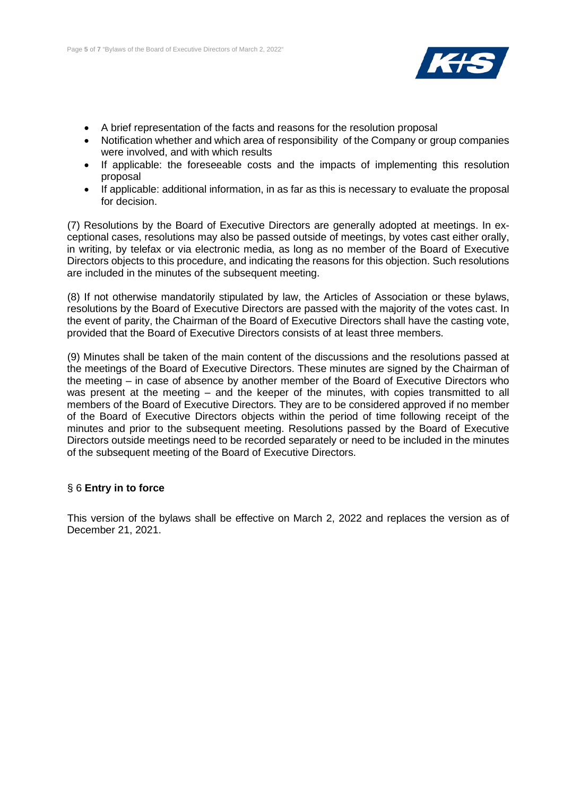

- A brief representation of the facts and reasons for the resolution proposal
- Notification whether and which area of responsibility of the Company or group companies were involved, and with which results
- If applicable: the foreseeable costs and the impacts of implementing this resolution proposal
- If applicable: additional information, in as far as this is necessary to evaluate the proposal for decision.

(7) Resolutions by the Board of Executive Directors are generally adopted at meetings. In exceptional cases, resolutions may also be passed outside of meetings, by votes cast either orally, in writing, by telefax or via electronic media, as long as no member of the Board of Executive Directors objects to this procedure, and indicating the reasons for this objection. Such resolutions are included in the minutes of the subsequent meeting.

(8) If not otherwise mandatorily stipulated by law, the Articles of Association or these bylaws, resolutions by the Board of Executive Directors are passed with the majority of the votes cast. In the event of parity, the Chairman of the Board of Executive Directors shall have the casting vote, provided that the Board of Executive Directors consists of at least three members.

(9) Minutes shall be taken of the main content of the discussions and the resolutions passed at the meetings of the Board of Executive Directors. These minutes are signed by the Chairman of the meeting – in case of absence by another member of the Board of Executive Directors who was present at the meeting – and the keeper of the minutes, with copies transmitted to all members of the Board of Executive Directors. They are to be considered approved if no member of the Board of Executive Directors objects within the period of time following receipt of the minutes and prior to the subsequent meeting. Resolutions passed by the Board of Executive Directors outside meetings need to be recorded separately or need to be included in the minutes of the subsequent meeting of the Board of Executive Directors.

# § 6 **Entry in to force**

This version of the bylaws shall be effective on March 2, 2022 and replaces the version as of December 21, 2021.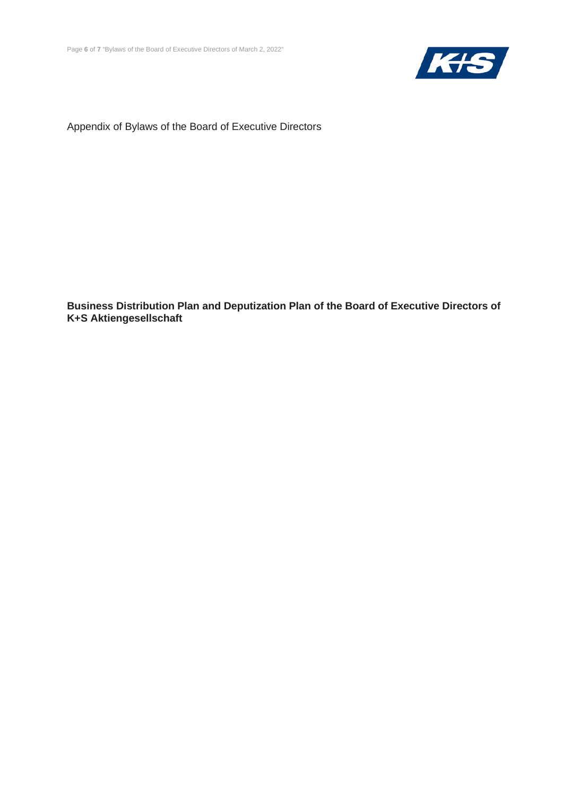

Appendix of Bylaws of the Board of Executive Directors

**Business Distribution Plan and Deputization Plan of the Board of Executive Directors of K+S Aktiengesellschaft**